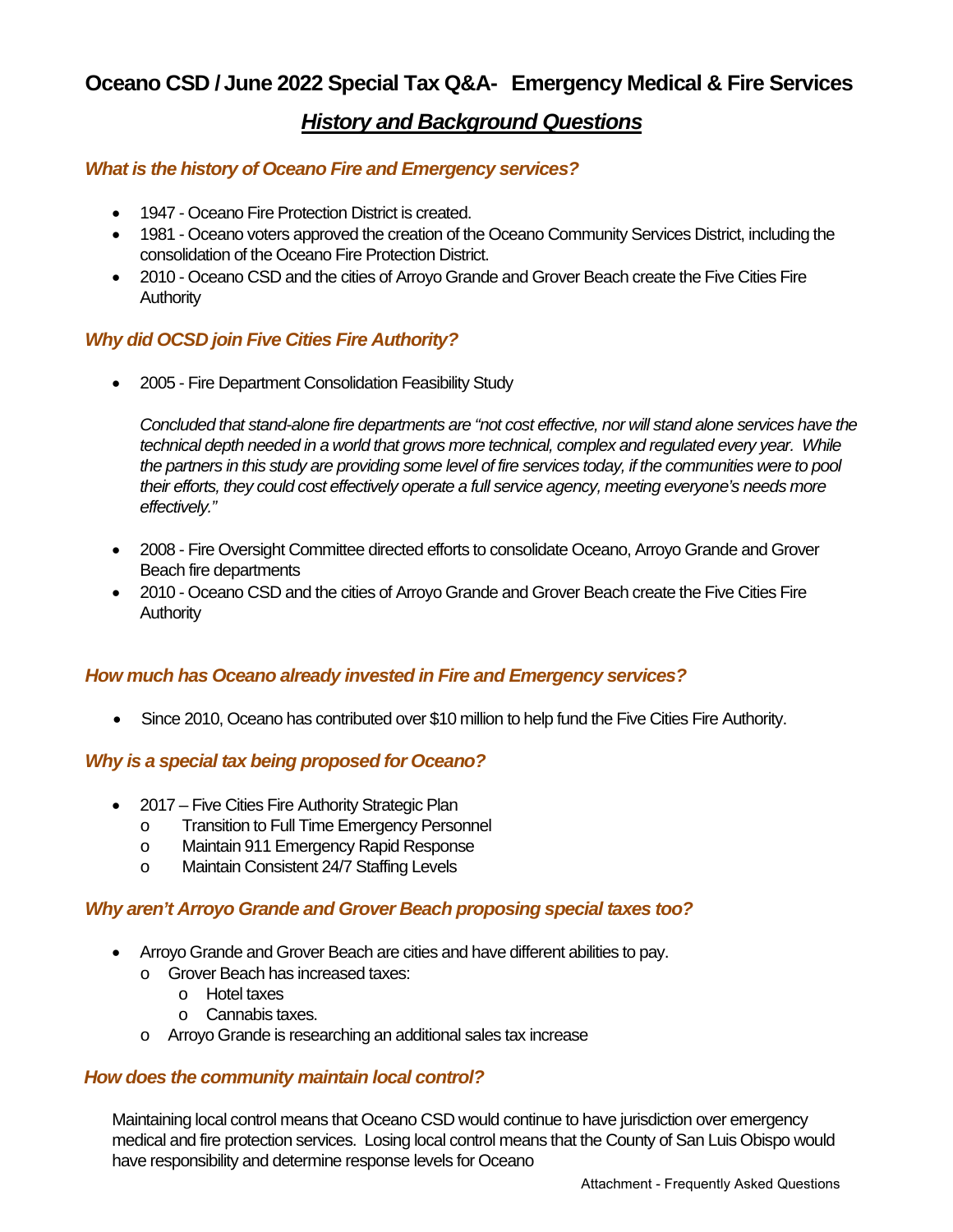## *History and Background Questions*

## *What is the history of Oceano Fire and Emergency services?*

- 1947 Oceano Fire Protection District is created.
- 1981 Oceano voters approved the creation of the Oceano Community Services District, including the consolidation of the Oceano Fire Protection District.
- 2010 Oceano CSD and the cities of Arroyo Grande and Grover Beach create the Five Cities Fire **Authority**

## *Why did OCSD join Five Cities Fire Authority?*

• 2005 - Fire Department Consolidation Feasibility Study

*Concluded that stand-alone fire departments are "not cost effective, nor will stand alone services have the technical depth needed in a world that grows more technical, complex and regulated every year. While the partners in this study are providing some level of fire services today, if the communities were to pool their efforts, they could cost effectively operate a full service agency, meeting everyone's needs more effectively."*

- 2008 Fire Oversight Committee directed efforts to consolidate Oceano, Arroyo Grande and Grover Beach fire departments
- 2010 Oceano CSD and the cities of Arroyo Grande and Grover Beach create the Five Cities Fire **Authority**

### *How much has Oceano already invested in Fire and Emergency services?*

• Since 2010, Oceano has contributed over \$10 million to help fund the Five Cities Fire Authority.

### *Why is a special tax being proposed for Oceano?*

- 2017 Five Cities Fire Authority Strategic Plan
	- o Transition to Full Time Emergency Personnel<br>
	o Maintain 911 Emergency Rapid Response
	- Maintain 911 Emergency Rapid Response
	- o Maintain Consistent 24/7 Staffing Levels

## *Why aren't Arroyo Grande and Grover Beach proposing special taxes too?*

- Arroyo Grande and Grover Beach are cities and have different abilities to pay.
	- o Grover Beach has increased taxes:
		- o Hotel taxes
		- o Cannabis taxes.
	- o Arroyo Grande is researching an additional sales tax increase

### *How does the community maintain local control?*

Maintaining local control means that Oceano CSD would continue to have jurisdiction over emergency medical and fire protection services. Losing local control means that the County of San Luis Obispo would have responsibility and determine response levels for Oceano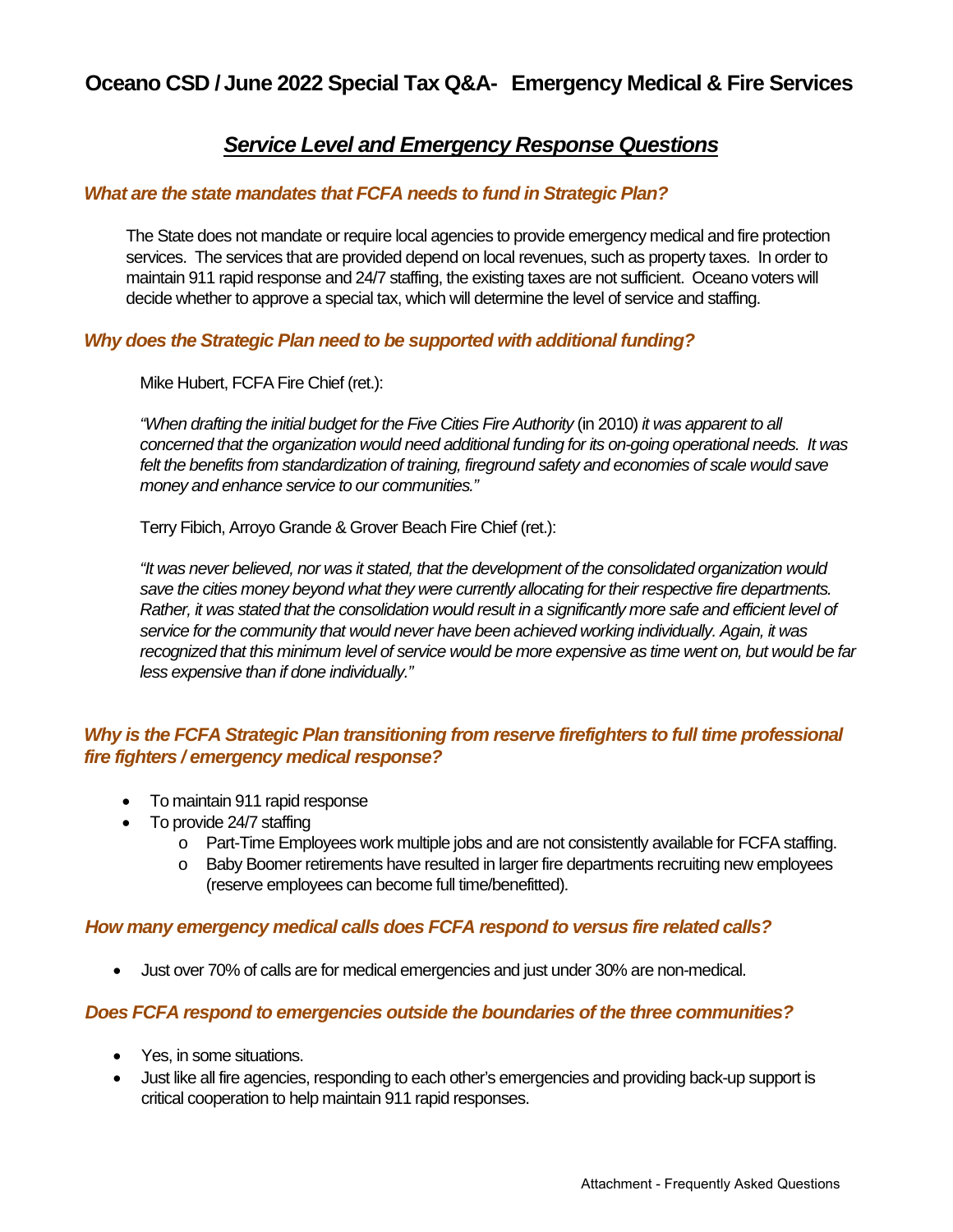## *Service Level and Emergency Response Questions*

### *What are the state mandates that FCFA needs to fund in Strategic Plan?*

The State does not mandate or require local agencies to provide emergency medical and fire protection services. The services that are provided depend on local revenues, such as property taxes. In order to maintain 911 rapid response and 24/7 staffing, the existing taxes are not sufficient. Oceano voters will decide whether to approve a special tax, which will determine the level of service and staffing.

### *Why does the Strategic Plan need to be supported with additional funding?*

Mike Hubert, FCFA Fire Chief (ret.):

*"When drafting the initial budget for the Five Cities Fire Authority* (in 2010) *it was apparent to all concerned that the organization would need additional funding for its on-going operational needs. It was*  felt the benefits from standardization of training, fireground safety and economies of scale would save *money and enhance service to our communities."*

Terry Fibich, Arroyo Grande & Grover Beach Fire Chief (ret.):

*"It was never believed, nor was it stated, that the development of the consolidated organization would save the cities money beyond what they were currently allocating for their respective fire departments. Rather, it was stated that the consolidation would result in a significantly more safe and efficient level of service for the community that would never have been achieved working individually. Again, it was recognized that this minimum level of service would be more expensive as time went on, but would be far less expensive than if done individually."*

## *Why is the FCFA Strategic Plan transitioning from reserve firefighters to full time professional fire fighters / emergency medical response?*

- To maintain 911 rapid response
- To provide 24/7 staffing
	- o Part-Time Employees work multiple jobs and are not consistently available for FCFA staffing.
	- o Baby Boomer retirements have resulted in larger fire departments recruiting new employees (reserve employees can become full time/benefitted).

### *How many emergency medical calls does FCFA respond to versus fire related calls?*

• Just over 70% of calls are for medical emergencies and just under 30% are non-medical.

### *Does FCFA respond to emergencies outside the boundaries of the three communities?*

- Yes, in some situations.
- Just like all fire agencies, responding to each other's emergencies and providing back-up support is critical cooperation to help maintain 911 rapid responses.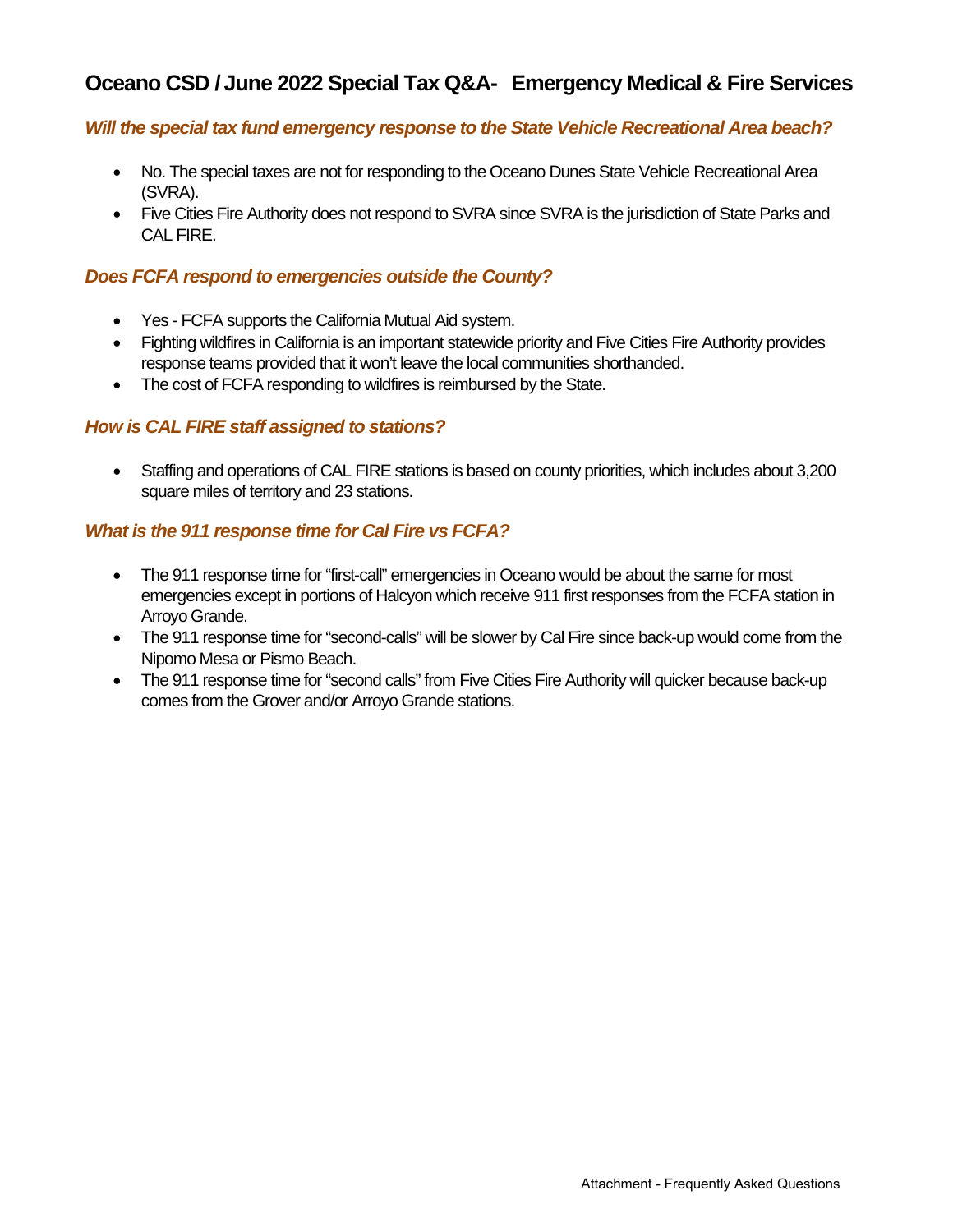### *Will the special tax fund emergency response to the State Vehicle Recreational Area beach?*

- No. The special taxes are not for responding to the Oceano Dunes State Vehicle Recreational Area (SVRA).
- Five Cities Fire Authority does not respond to SVRA since SVRA is the jurisdiction of State Parks and CAL FIRE.

#### *Does FCFA respond to emergencies outside the County?*

- Yes FCFA supports the California Mutual Aid system.
- Fighting wildfires in California is an important statewide priority and Five Cities Fire Authority provides response teams provided that it won't leave the local communities shorthanded.
- The cost of FCFA responding to wildfires is reimbursed by the State.

### *How is CAL FIRE staff assigned to stations?*

• Staffing and operations of CAL FIRE stations is based on county priorities, which includes about 3,200 square miles of territory and 23 stations.

### *What is the 911 response time for Cal Fire vs FCFA?*

- The 911 response time for "first-call" emergencies in Oceano would be about the same for most emergencies except in portions of Halcyon which receive 911 first responses from the FCFA station in Arroyo Grande.
- The 911 response time for "second-calls" will be slower by Cal Fire since back-up would come from the Nipomo Mesa or Pismo Beach.
- The 911 response time for "second calls" from Five Cities Fire Authority will quicker because back-up comes from the Grover and/or Arroyo Grande stations.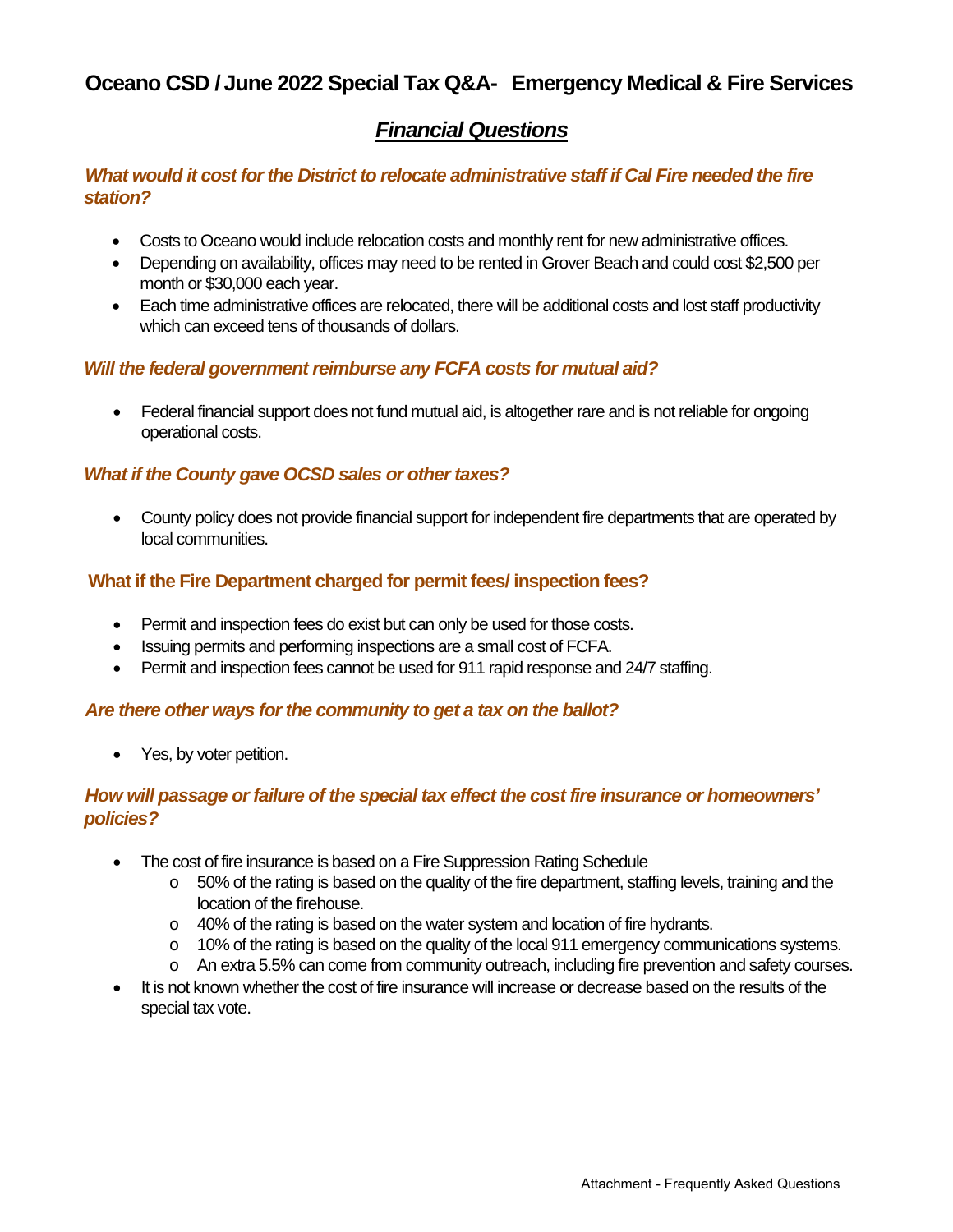## *Financial Questions*

## *What would it cost for the District to relocate administrative staff if Cal Fire needed the fire station?*

- Costs to Oceano would include relocation costs and monthly rent for new administrative offices.
- Depending on availability, offices may need to be rented in Grover Beach and could cost \$2,500 per month or \$30,000 each year.
- Each time administrative offices are relocated, there will be additional costs and lost staff productivity which can exceed tens of thousands of dollars.

### *Will the federal government reimburse any FCFA costs for mutual aid?*

• Federal financial support does not fund mutual aid, is altogether rare and is not reliable for ongoing operational costs.

### *What if the County gave OCSD sales or other taxes?*

• County policy does not provide financial support for independent fire departments that are operated by local communities.

## **What if the Fire Department charged for permit fees/ inspection fees?**

- Permit and inspection fees do exist but can only be used for those costs.
- Issuing permits and performing inspections are a small cost of FCFA.
- Permit and inspection fees cannot be used for 911 rapid response and 24/7 staffing.

### *Are there other ways for the community to get a tax on the ballot?*

• Yes, by voter petition.

## *How will passage or failure of the special tax effect the cost fire insurance or homeowners' policies?*

- The cost of fire insurance is based on a Fire Suppression Rating Schedule
	- o 50% of the rating is based on the quality of the fire department, staffing levels, training and the location of the firehouse.
	- o 40% of the rating is based on the water system and location of fire hydrants.
	- o 10% of the rating is based on the quality of the local 911 emergency communications systems.
	- o An extra 5.5% can come from community outreach, including fire prevention and safety courses.
- It is not known whether the cost of fire insurance will increase or decrease based on the results of the special tax vote.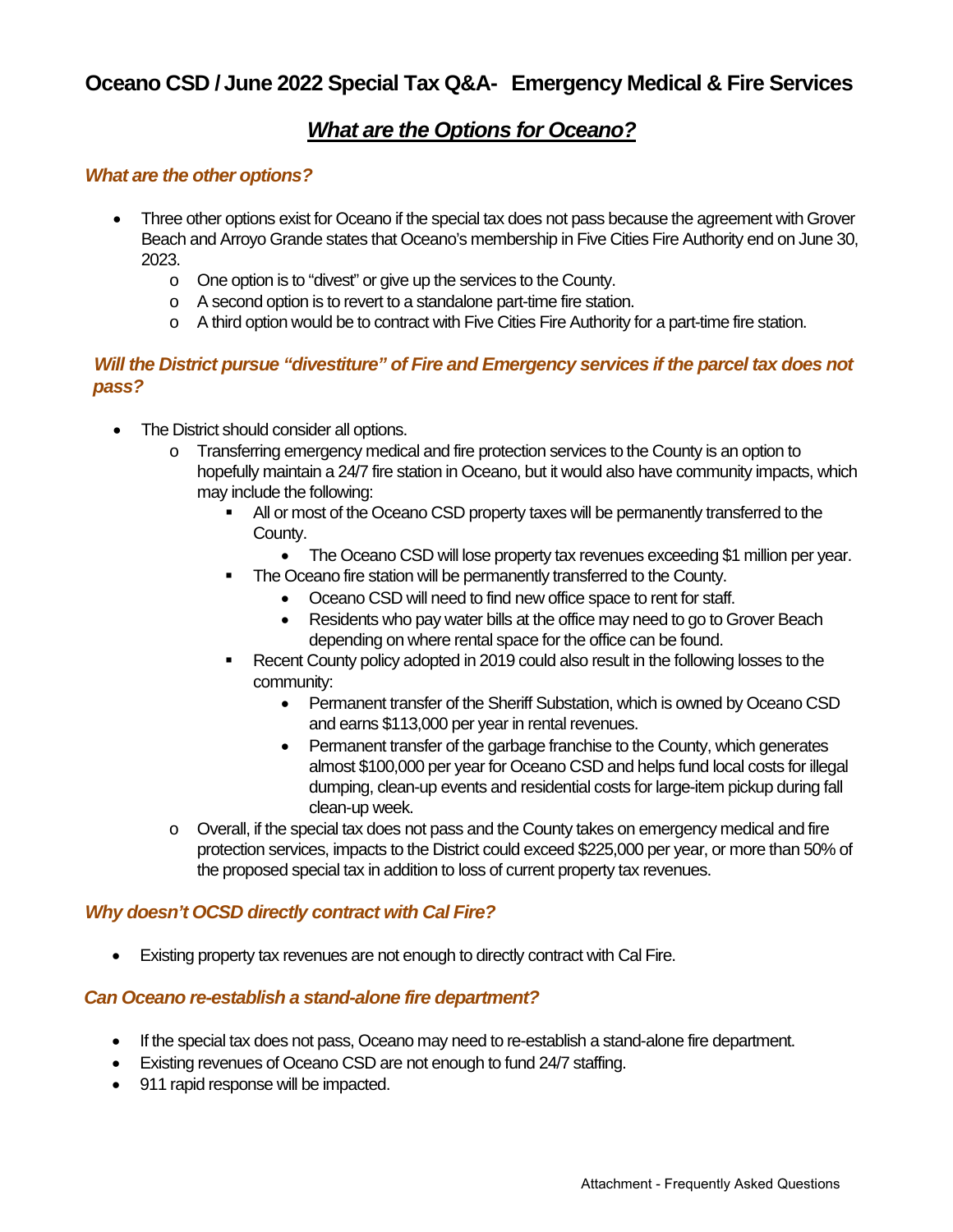## *What are the Options for Oceano?*

### *What are the other options?*

- Three other options exist for Oceano if the special tax does not pass because the agreement with Grover Beach and Arroyo Grande states that Oceano's membership in Five Cities Fire Authority end on June 30, 2023.
	- o One option is to "divest" or give up the services to the County.
	- o A second option is to revert to a standalone part-time fire station.
	- o A third option would be to contract with Five Cities Fire Authority for a part-time fire station.

## *Will the District pursue "divestiture" of Fire and Emergency services if the parcel tax does not pass?*

- The District should consider all options.
	- o Transferring emergency medical and fire protection services to the County is an option to hopefully maintain a 24/7 fire station in Oceano, but it would also have community impacts, which may include the following:
		- All or most of the Oceano CSD property taxes will be permanently transferred to the County.
			- The Oceano CSD will lose property tax revenues exceeding \$1 million per year.
		- The Oceano fire station will be permanently transferred to the County.
			- Oceano CSD will need to find new office space to rent for staff.
			- Residents who pay water bills at the office may need to go to Grover Beach depending on where rental space for the office can be found.
		- Recent County policy adopted in 2019 could also result in the following losses to the community:
			- Permanent transfer of the Sheriff Substation, which is owned by Oceano CSD and earns \$113,000 per year in rental revenues.
			- Permanent transfer of the garbage franchise to the County, which generates almost \$100,000 per year for Oceano CSD and helps fund local costs for illegal dumping, clean-up events and residential costs for large-item pickup during fall clean-up week.
	- $\circ$  Overall, if the special tax does not pass and the County takes on emergency medical and fire protection services, impacts to the District could exceed \$225,000 per year, or more than 50% of the proposed special tax in addition to loss of current property tax revenues.

## *Why doesn't OCSD directly contract with Cal Fire?*

• Existing property tax revenues are not enough to directly contract with Cal Fire.

### *Can Oceano re-establish a stand-alone fire department?*

- If the special tax does not pass, Oceano may need to re-establish a stand-alone fire department.
- Existing revenues of Oceano CSD are not enough to fund 24/7 staffing.
- 911 rapid response will be impacted.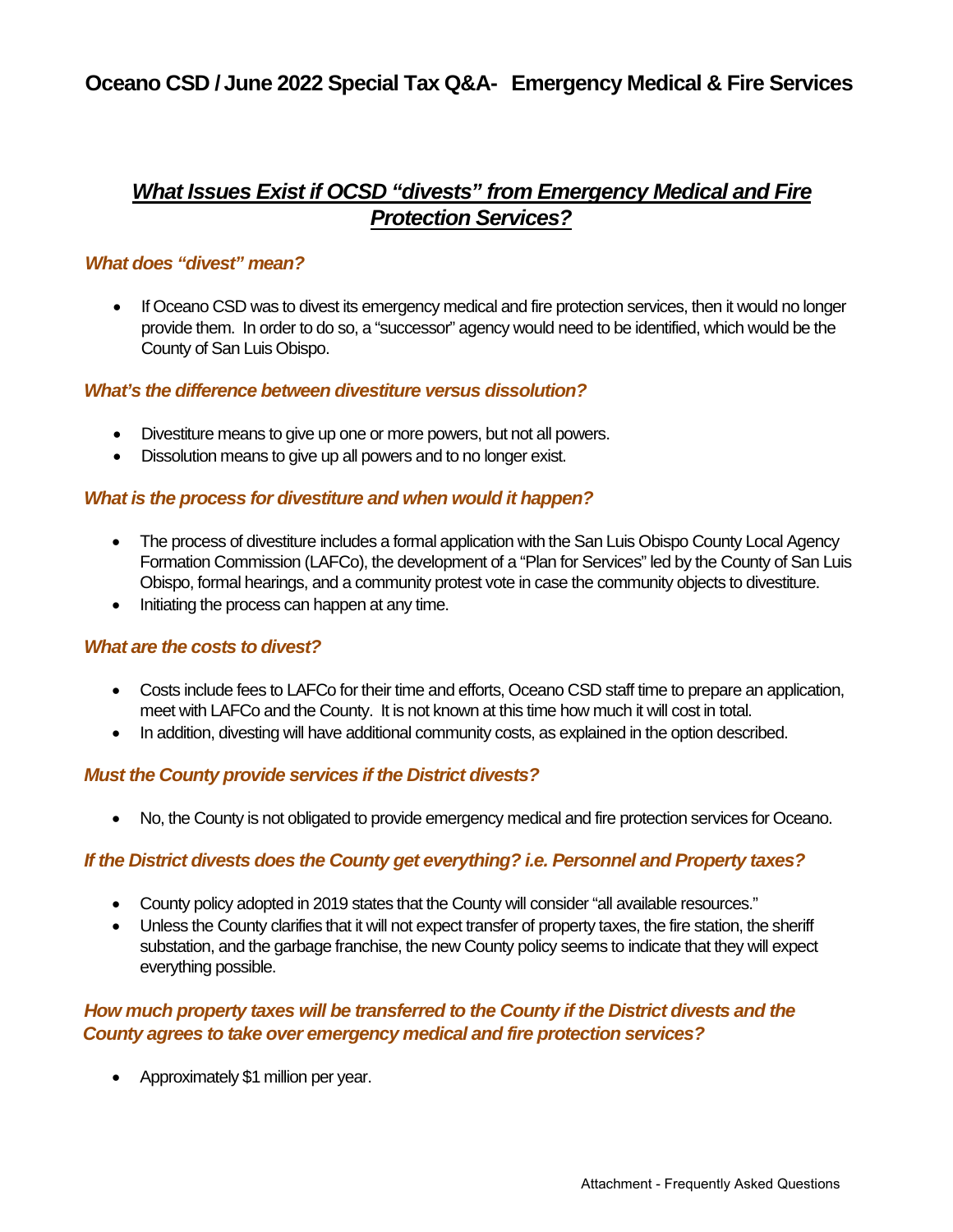# *What Issues Exist if OCSD "divests" from Emergency Medical and Fire Protection Services?*

## *What does "divest" mean?*

If Oceano CSD was to divest its emergency medical and fire protection services, then it would no longer provide them. In order to do so, a "successor" agency would need to be identified, which would be the County of San Luis Obispo.

### *What's the difference between divestiture versus dissolution?*

- Divestiture means to give up one or more powers, but not all powers.
- Dissolution means to give up all powers and to no longer exist.

## *What is the process for divestiture and when would it happen?*

- The process of divestiture includes a formal application with the San Luis Obispo County Local Agency Formation Commission (LAFCo), the development of a "Plan for Services" led by the County of San Luis Obispo, formal hearings, and a community protest vote in case the community objects to divestiture.
- Initiating the process can happen at any time.

### *What are the costs to divest?*

- Costs include fees to LAFCo for their time and efforts, Oceano CSD staff time to prepare an application, meet with LAFCo and the County. It is not known at this time how much it will cost in total.
- In addition, divesting will have additional community costs, as explained in the option described.

### *Must the County provide services if the District divests?*

• No, the County is not obligated to provide emergency medical and fire protection services for Oceano.

## *If the District divests does the County get everything? i.e. Personnel and Property taxes?*

- County policy adopted in 2019 states that the County will consider "all available resources."
- Unless the County clarifies that it will not expect transfer of property taxes, the fire station, the sheriff substation, and the garbage franchise, the new County policy seems to indicate that they will expect everything possible.

## *How much property taxes will be transferred to the County if the District divests and the County agrees to take over emergency medical and fire protection services?*

• Approximately \$1 million per year.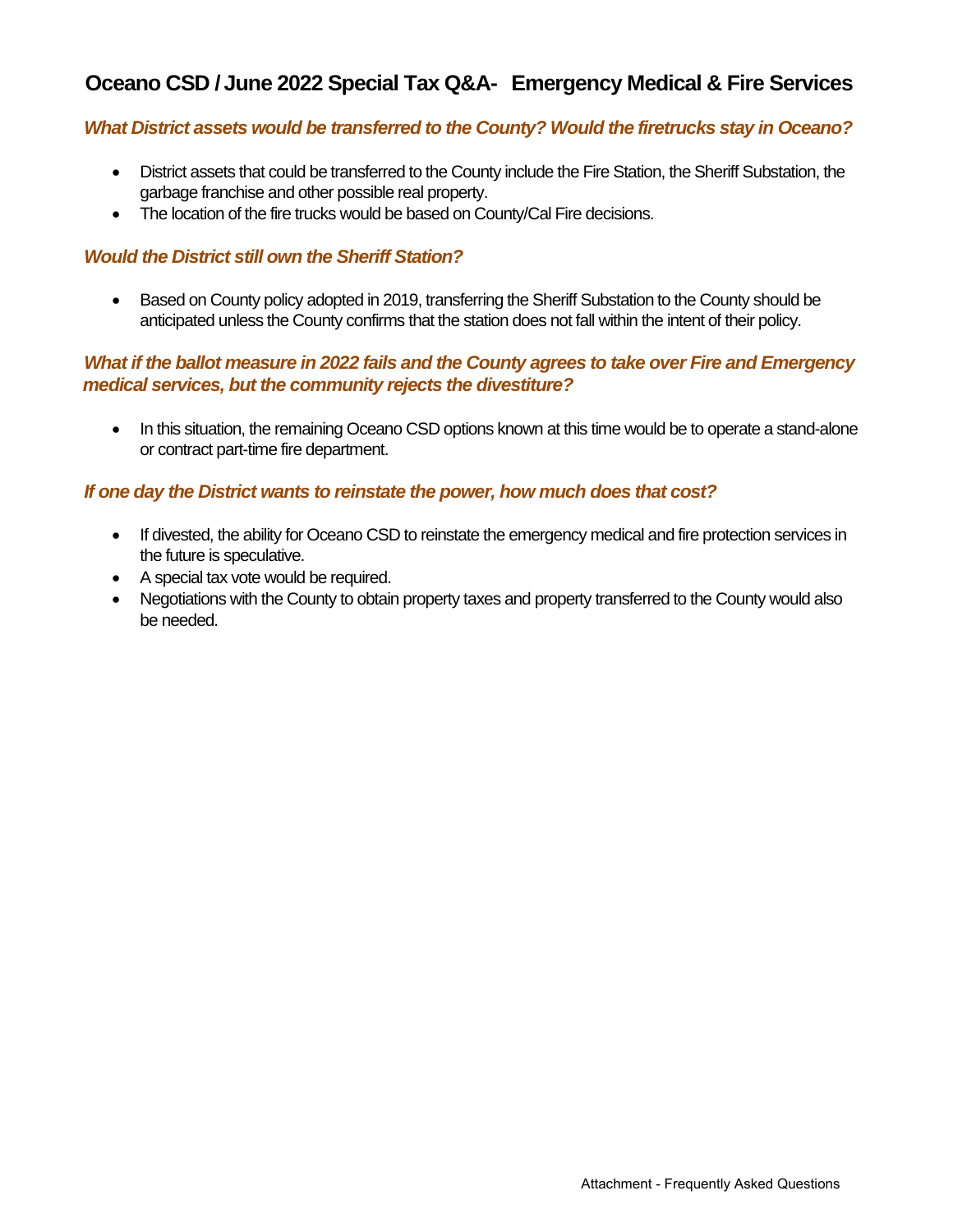### *What District assets would be transferred to the County? Would the firetrucks stay in Oceano?*

- District assets that could be transferred to the County include the Fire Station, the Sheriff Substation, the garbage franchise and other possible real property.
- The location of the fire trucks would be based on County/Cal Fire decisions.

#### *Would the District still own the Sheriff Station?*

• Based on County policy adopted in 2019, transferring the Sheriff Substation to the County should be anticipated unless the County confirms that the station does not fall within the intent of their policy.

## *What if the ballot measure in 2022 fails and the County agrees to take over Fire and Emergency medical services, but the community rejects the divestiture?*

• In this situation, the remaining Oceano CSD options known at this time would be to operate a stand-alone or contract part-time fire department.

### *If one day the District wants to reinstate the power, how much does that cost?*

- If divested, the ability for Oceano CSD to reinstate the emergency medical and fire protection services in the future is speculative.
- A special tax vote would be required.
- Negotiations with the County to obtain property taxes and property transferred to the County would also be needed.